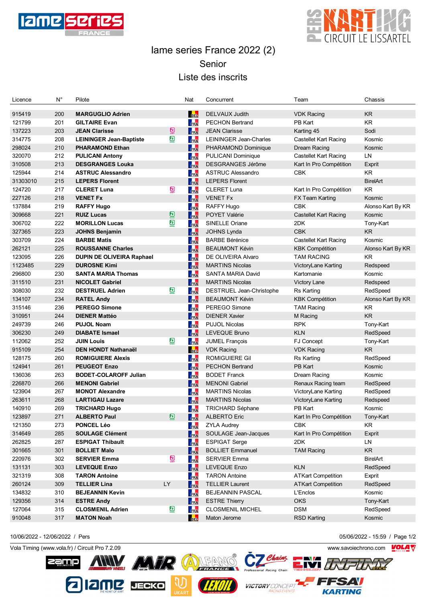



## Iame series France 2022 (2) Senior Liste des inscrits

| Licence  | $N^{\circ}$ | Pilote                           |                     | Nat        | Concurrent                | Team                         | Chassis           |
|----------|-------------|----------------------------------|---------------------|------------|---------------------------|------------------------------|-------------------|
|          |             |                                  |                     |            |                           |                              |                   |
| 915419   | 200         | <b>MARGUGLIO Adrien</b>          |                     | <b>BEL</b> | DELVAUX Judith            | <b>VDK Racing</b>            | <b>KR</b>         |
| 121799   | 201         | <b>GILTAIRE Evan</b>             |                     | <b>FRA</b> | <b>PECHON Bertrand</b>    | PB Kart                      | <b>KR</b>         |
| 137223   | 203         | <b>JEAN Clarisse</b>             | 鳳                   | FRA        | <b>JEAN Clarisse</b>      | Karting 45                   | Sodi              |
| 314775   | 208         | <b>LEININGER Jean-Baptiste</b>   | σ                   | FRA        | LEININGER Jean-Charles    | <b>Castellet Kart Racing</b> | Kosmic            |
| 298024   | 210         | <b>PHARAMOND Ethan</b>           |                     | FRA        | PHARAMOND Dominique       | Dream Racing                 | Kosmic            |
| 320070   | 212         | <b>PULICANI Antony</b>           |                     | FRA        | <b>PULICANI Dominique</b> | <b>Castellet Kart Racing</b> | LN                |
| 310508   | 213         | <b>DESGRANGES Louka</b>          |                     | FRA        | <b>DESGRANGES Jérôme</b>  | Kart In Pro Compétition      | Exprit            |
| 125944   | 214         | <b>ASTRUC Alessandro</b>         |                     | FRA        | <b>ASTRUC Alessandro</b>  | <b>CBK</b>                   | KR                |
| 31303010 | 215         | <b>LEPERS Florent</b>            |                     | FRA        | <b>LEPERS Florent</b>     |                              | <b>BirelArt</b>   |
| 124720   | 217         | <b>CLERET Luna</b>               | $\sum_{\text{LAV}}$ | FRA        | <b>CLERET Luna</b>        | Kart In Pro Compétition      | KR                |
| 227126   | 218         | <b>VENET Fx</b>                  |                     | FRA        | <b>VENET Fx</b>           | FX Team Karting              | Kosmic            |
| 137884   | 219         | <b>RAFFY Hugo</b>                |                     | FRA        | RAFFY Hugo                | <b>CBK</b>                   | Alonso Kart By KR |
| 309668   | 221         | <b>RUIZ Lucas</b>                | ₫                   | FRA        | <b>POYET Valérie</b>      | <b>Castellet Kart Racing</b> | Kosmic            |
| 306702   | 222         | <b>MORILLON Lucas</b>            | $\mathbf{a}$        | FRA        | SINELLE Oriane            | 2DK                          | Tony-Kart         |
| 327365   | 223         | <b>JOHNS Benjamin</b>            |                     | FRA        | <b>JOHNS Lynda</b>        | <b>CBK</b>                   | <b>KR</b>         |
| 303709   | 224         | <b>BARBE Matis</b>               |                     | FRA        | <b>BARBE Bérénice</b>     | <b>Castellet Kart Racing</b> | Kosmic            |
| 262121   | 225         | <b>ROUSSANNE Charles</b>         |                     | FRA        | <b>BEAUMONT Kévin</b>     | <b>KBK Compétition</b>       | Alonso Kart By KR |
| 123095   | 226         | <b>DUPIN DE OLIVEIRA Raphael</b> |                     | FRA        | DE OLIVEIRA Alvaro        | <b>TAM RACING</b>            | <b>KR</b>         |
| 1123485  | 229         | <b>DUROSNE Kimi</b>              |                     | FRA        | <b>MARTINS Nicolas</b>    | VictoryLane Karting          | Redspeed          |
| 296800   | 230         | <b>SANTA MARIA Thomas</b>        |                     | FRA        | SANTA MARIA David         | Kartomanie                   | Kosmic            |
| 311510   | 231         | <b>NICOLET Gabriel</b>           |                     | FRA        | <b>MARTINS Nicolas</b>    | Victory Lane                 | Redspeed          |
| 308030   | 232         | <b>DESTRUEL Adrien</b>           | ◙                   | FRA        | DESTRUEL Jean-Christophe  | Rs Karting                   | RedSpeed          |
| 134107   | 234         | <b>RATEL Andy</b>                |                     | FRA        | <b>BEAUMONT Kévin</b>     | <b>KBK Compétition</b>       | Alonso Kart By KR |
| 315146   | 236         | <b>PEREGO Simone</b>             |                     | FRA        | PEREGO Simone             | <b>TAM Racing</b>            | <b>KR</b>         |
| 310951   | 244         | <b>DIENER Mattéo</b>             |                     | FRA        | <b>DIENER Xavier</b>      | M Racing                     | <b>KR</b>         |
| 249739   | 246         | <b>PUJOL Noam</b>                |                     | FRA        | <b>PUJOL Nicolas</b>      | <b>RPK</b>                   | Tony-Kart         |
| 306230   | 249         | <b>DIABATE Ismael</b>            |                     | FRA        | <b>LEVEQUE Bruno</b>      | <b>KLN</b>                   | RedSpeed          |
| 112062   | 252         | <b>JUIN Louis</b>                | ◙                   | FRA        | <b>JUMEL François</b>     | FJ Concept                   | Tony-Kart         |
| 915109   | 254         | <b>DEN HONDT Nathanaël</b>       |                     | <b>BEL</b> | <b>VDK Racing</b>         | <b>VDK Racing</b>            | <b>KR</b>         |
| 128175   | 260         | <b>ROMIGUIERE Alexis</b>         |                     | FRA        | <b>ROMIGUIERE Gil</b>     | <b>Rs Karting</b>            | RedSpeed          |
| 124941   | 261         | <b>PEUGEOT Enzo</b>              |                     | FRA        | <b>PECHON Bertrand</b>    | PB Kart                      | Kosmic            |
| 136036   | 263         | <b>BODET-COLAROFF Julian</b>     |                     | FRA        | <b>BODET Franck</b>       | Dream Racing                 | Kosmic            |
| 226870   | 266         | <b>MENONI Gabriel</b>            |                     | FRA        | <b>MENONI Gabriel</b>     | Renaux Racing team           | RedSpeed          |
| 123904   | 267         | <b>MONOT Alexandre</b>           |                     | FRA        | <b>MARTINS Nicolas</b>    | VictoryLane Karting          | RedSpeed          |
| 263611   | 268         | <b>LARTIGAU Lazare</b>           |                     | FRA        | <b>MARTINS Nicolas</b>    | VictoryLane Karting          | Redspeed          |
| 140910   | 269         | <b>TRICHARD Hugo</b>             |                     | FRA        | <b>TRICHARD Séphane</b>   | PB Kart                      | Kosmic            |
| 123897   | 271         | <b>ALBERTO Paul</b>              | $\hfill \square$    | FRA        | <b>ALBERTO Eric</b>       | Kart In Pro Compétition      | Tony-Kart         |
| 121350   | 273         | <b>PONCEL Léo</b>                |                     | FRA        | <b>ZYLA Audrey</b>        | <b>CBK</b>                   | KR                |
| 314649   | 285         | <b>SOULAGE Clément</b>           |                     | FRA        | SOULAGE Jean-Jacques      | Kart In Pro Compétition      | Exprit            |
| 262825   | 287         | <b>ESPIGAT Thibault</b>          |                     | <b>FRA</b> | <b>ESPIGAT Serge</b>      | 2DK                          | LN                |
| 301665   | 301         | <b>BOLLIET Malo</b>              |                     | FRA        | <b>BOLLIET Emmanuel</b>   | <b>TAM Racing</b>            | <b>KR</b>         |
| 220976   | 302         | <b>SERVIER Emma</b>              | $\sum_{\text{LAV}}$ | FRA        | <b>SERVIER Emma</b>       |                              | <b>BirelArt</b>   |
| 131131   | 303         | <b>LEVEQUE Enzo</b>              |                     | FRA        | <b>LEVEQUE Enzo</b>       | <b>KLN</b>                   | RedSpeed          |
| 321319   | 308         | <b>TARON Antoine</b>             |                     | <b>FRA</b> | <b>TARON Antoine</b>      | <b>ATKart Competition</b>    | Exprit            |
| 260124   | 309         | <b>TELLIER Lina</b>              | LY                  | FRA        | <b>TELLIER Laurent</b>    | <b>ATKart Competition</b>    | RedSpeed          |
| 134832   | 310         | <b>BEJEANNIN Kevin</b>           |                     | FRA        | <b>BEJEANNIN PASCAL</b>   | L'Enclos                     | Kosmic            |
| 129356   | 314         | <b>ESTRE Andy</b>                |                     | FRA        | <b>ESTRE Thierry</b>      | <b>OKS</b>                   | Tony-Kart         |
| 127064   | 315         | <b>CLOSMENIL Adrien</b>          | ◙                   | FRA        | <b>CLOSMENIL MICHEL</b>   | <b>DSM</b>                   | RedSpeed          |
| 910048   | 317         | <b>MATON Noah</b>                |                     | <b>BEL</b> | Maton Jerome              | <b>RSD Karting</b>           | Kosmic            |
|          |             |                                  |                     |            |                           |                              |                   |

Vola Timing (www.vola.fr) / Circuit Pro 7.2.09 www.savoiechrono.com

<u>amp</u>

2 12 MZ JECKO



10/06/2022 - 12/06/2022 / Pers 05/06/2022 - 15:59 / Page 1/2

**FFSAV KARTING**